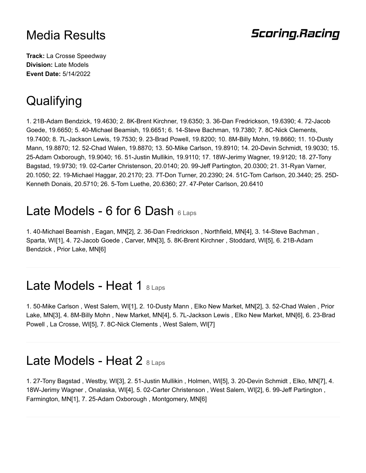### **Scoring.Racing**

**Track:** La Crosse Speedway **Division:** Late Models **Event Date:** 5/14/2022

# **Qualifying**

1. 21B-Adam Bendzick, 19.4630; 2. 8K-Brent Kirchner, 19.6350; 3. 36-Dan Fredrickson, 19.6390; 4. 72-Jacob Goede, 19.6650; 5. 40-Michael Beamish, 19.6651; 6. 14-Steve Bachman, 19.7380; 7. 8C-Nick Clements, 19.7400; 8. 7L-Jackson Lewis, 19.7530; 9. 23-Brad Powell, 19.8200; 10. 8M-Billy Mohn, 19.8660; 11. 10-Dusty Mann, 19.8870; 12. 52-Chad Walen, 19.8870; 13. 50-Mike Carlson, 19.8910; 14. 20-Devin Schmidt, 19.9030; 15. 25-Adam Oxborough, 19.9040; 16. 51-Justin Mullikin, 19.9110; 17. 18W-Jerimy Wagner, 19.9120; 18. 27-Tony Bagstad, 19.9730; 19. 02-Carter Christenson, 20.0140; 20. 99-Jeff Partington, 20.0300; 21. 31-Ryan Varner, 20.1050; 22. 19-Michael Haggar, 20.2170; 23. 7T-Don Turner, 20.2390; 24. 51C-Tom Carlson, 20.3440; 25. 25D-Kenneth Donais, 20.5710; 26. 5-Tom Luethe, 20.6360; 27. 47-Peter Carlson, 20.6410

## Late Models - 6 for 6 Dash  $6$  Laps

1. 40-Michael Beamish , Eagan, MN[2], 2. 36-Dan Fredrickson , Northfield, MN[4], 3. 14-Steve Bachman , Sparta, WI[1], 4. 72-Jacob Goede , Carver, MN[3], 5. 8K-Brent Kirchner , Stoddard, WI[5], 6. 21B-Adam Bendzick , Prior Lake, MN[6]

#### Late Models - Heat 1 8 Laps

1. 50-Mike Carlson , West Salem, WI[1], 2. 10-Dusty Mann , Elko New Market, MN[2], 3. 52-Chad Walen , Prior Lake, MN[3], 4. 8M-Billy Mohn , New Market, MN[4], 5. 7L-Jackson Lewis , Elko New Market, MN[6], 6. 23-Brad Powell , La Crosse, WI[5], 7. 8C-Nick Clements , West Salem, WI[7]

#### Late Models - Heat 2 8 Laps

1. 27-Tony Bagstad , Westby, WI[3], 2. 51-Justin Mullikin , Holmen, WI[5], 3. 20-Devin Schmidt , Elko, MN[7], 4. 18W-Jerimy Wagner , Onalaska, WI[4], 5. 02-Carter Christenson , West Salem, WI[2], 6. 99-Jeff Partington , Farmington, MN[1], 7. 25-Adam Oxborough , Montgomery, MN[6]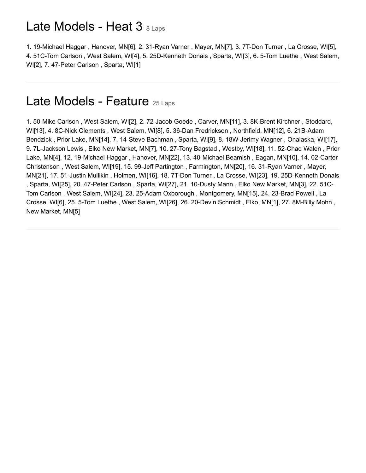### Late Models - Heat 3 8 Laps

1. 19-Michael Haggar , Hanover, MN[6], 2. 31-Ryan Varner , Mayer, MN[7], 3. 7T-Don Turner , La Crosse, WI[5], 4. 51C-Tom Carlson , West Salem, WI[4], 5. 25D-Kenneth Donais , Sparta, WI[3], 6. 5-Tom Luethe , West Salem, WI[2], 7. 47-Peter Carlson , Sparta, WI[1]

#### Late Models - Feature 25 Laps

1. 50-Mike Carlson , West Salem, WI[2], 2. 72-Jacob Goede , Carver, MN[11], 3. 8K-Brent Kirchner , Stoddard, WI[13], 4. 8C-Nick Clements , West Salem, WI[8], 5. 36-Dan Fredrickson , Northfield, MN[12], 6. 21B-Adam Bendzick , Prior Lake, MN[14], 7. 14-Steve Bachman , Sparta, WI[9], 8. 18W-Jerimy Wagner , Onalaska, WI[17], 9. 7L-Jackson Lewis , Elko New Market, MN[7], 10. 27-Tony Bagstad , Westby, WI[18], 11. 52-Chad Walen , Prior Lake, MN[4], 12. 19-Michael Haggar , Hanover, MN[22], 13. 40-Michael Beamish , Eagan, MN[10], 14. 02-Carter Christenson , West Salem, WI[19], 15. 99-Jeff Partington , Farmington, MN[20], 16. 31-Ryan Varner , Mayer, MN[21], 17. 51-Justin Mullikin , Holmen, WI[16], 18. 7T-Don Turner , La Crosse, WI[23], 19. 25D-Kenneth Donais , Sparta, WI[25], 20. 47-Peter Carlson , Sparta, WI[27], 21. 10-Dusty Mann , Elko New Market, MN[3], 22. 51C-Tom Carlson , West Salem, WI[24], 23. 25-Adam Oxborough , Montgomery, MN[15], 24. 23-Brad Powell , La Crosse, WI[6], 25. 5-Tom Luethe , West Salem, WI[26], 26. 20-Devin Schmidt , Elko, MN[1], 27. 8M-Billy Mohn , New Market, MN[5]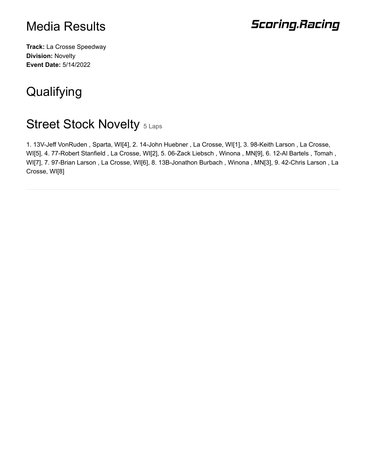## **Scoring.Racing**

**Track:** La Crosse Speedway **Division:** Novelty **Event Date:** 5/14/2022

# **Qualifying**

## Street Stock Novelty 5 Laps

1. 13V-Jeff VonRuden , Sparta, WI[4], 2. 14-John Huebner , La Crosse, WI[1], 3. 98-Keith Larson , La Crosse, WI[5], 4. 77-Robert Stanfield , La Crosse, WI[2], 5. 06-Zack Liebsch , Winona , MN[9], 6. 12-Al Bartels , Tomah , WI[7], 7. 97-Brian Larson , La Crosse, WI[6], 8. 13B-Jonathon Burbach , Winona , MN[3], 9. 42-Chris Larson , La Crosse, WI[8]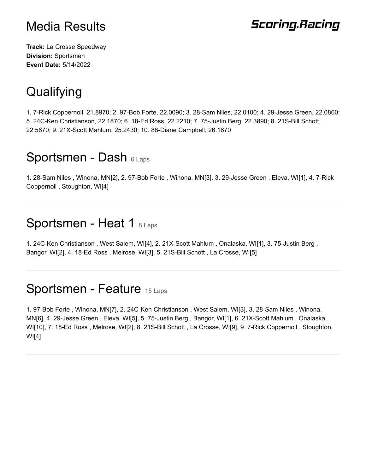## **Scoring.Racing**

**Track:** La Crosse Speedway **Division:** Sportsmen **Event Date:** 5/14/2022

# **Qualifying**

1. 7-Rick Coppernoll, 21.8970; 2. 97-Bob Forte, 22.0090; 3. 28-Sam Niles, 22.0100; 4. 29-Jesse Green, 22.0860; 5. 24C-Ken Christianson, 22.1870; 6. 18-Ed Ross, 22.2210; 7. 75-Justin Berg, 22.3890; 8. 21S-Bill Schott, 22.5670; 9. 21X-Scott Mahlum, 25.2430; 10. 88-Diane Campbell, 26.1670

### Sportsmen - Dash 6 Laps

1. 28-Sam Niles , Winona, MN[2], 2. 97-Bob Forte , Winona, MN[3], 3. 29-Jesse Green , Eleva, WI[1], 4. 7-Rick Coppernoll , Stoughton, WI[4]

#### Sportsmen - Heat 1 8 Laps

1. 24C-Ken Christianson , West Salem, WI[4], 2. 21X-Scott Mahlum , Onalaska, WI[1], 3. 75-Justin Berg , Bangor, WI[2], 4. 18-Ed Ross , Melrose, WI[3], 5. 21S-Bill Schott , La Crosse, WI[5]

## Sportsmen - Feature 15 Laps

1. 97-Bob Forte , Winona, MN[7], 2. 24C-Ken Christianson , West Salem, WI[3], 3. 28-Sam Niles , Winona, MN[6], 4. 29-Jesse Green , Eleva, WI[5], 5. 75-Justin Berg , Bangor, WI[1], 6. 21X-Scott Mahlum , Onalaska, WI[10], 7. 18-Ed Ross , Melrose, WI[2], 8. 21S-Bill Schott , La Crosse, WI[9], 9. 7-Rick Coppernoll , Stoughton, WI[4]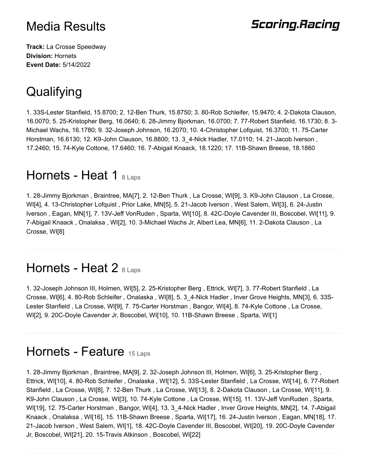## **Scoring.Racing**

**Track:** La Crosse Speedway **Division:** Hornets **Event Date:** 5/14/2022

# **Qualifying**

1. 33S-Lester Stanfield, 15.8700; 2. 12-Ben Thurk, 15.8750; 3. 80-Rob Schleifer, 15.9470; 4. 2-Dakota Clauson, 16.0070; 5. 25-Kristopher Berg, 16.0640; 6. 28-Jimmy Bjorkman, 16.0700; 7. 77-Robert Stanfield, 16.1730; 8. 3- Michael Wachs, 16.1780; 9. 32-Joseph Johnson, 16.2070; 10. 4-Christopher Lofquist, 16.3700; 11. 75-Carter Horstman, 16.6130; 12. K9-John Clauson, 16.8800; 13. 3\_4-Nick Hadler, 17.0110; 14. 21-Jacob Iverson , 17.2460; 15. 74-Kyle Cottone, 17.6460; 16. 7-Abigail Knaack, 18.1220; 17. 11B-Shawn Breese, 18.1860

### Hornets - Heat 1  $8$  Laps

1. 28-Jimmy Bjorkman , Braintree, MA[7], 2. 12-Ben Thurk , La Crosse, WI[9], 3. K9-John Clauson , La Crosse, WI[4], 4. 13-Christopher Lofquist , Prior Lake, MN[5], 5. 21-Jacob Iverson , West Salem, WI[3], 6. 24-Justin Iverson , Eagan, MN[1], 7. 13V-Jeff VonRuden , Sparta, WI[10], 8. 42C-Doyle Cavender III, Boscobel, WI[11], 9. 7-Abigail Knaack , Onalaksa , WI[2], 10. 3-Michael Wachs Jr, Albert Lea, MN[6], 11. 2-Dakota Clauson , La Crosse, WI[8]

#### Hornets - Heat 2 8 Laps

1. 32-Joseph Johnson III, Holmen, WI[5], 2. 25-Kristopher Berg , Ettrick, WI[7], 3. 77-Robert Stanfield , La Crosse, WI[6], 4. 80-Rob Schleifer , Onalaska , WI[8], 5. 3\_4-Nick Hadler , Inver Grove Heights, MN[3], 6. 33S-Lester Stanfield , La Crosse, WI[9], 7. 75-Carter Horstman , Bangor, WI[4], 8. 74-Kyle Cottone , La Crosse, WI[2], 9. 20C-Doyle Cavender Jr, Boscobel, WI[10], 10. 11B-Shawn Breese , Sparta, WI[1]

### Hornets - Feature 15 Laps

1. 28-Jimmy Bjorkman , Braintree, MA[9], 2. 32-Joseph Johnson III, Holmen, WI[6], 3. 25-Kristopher Berg , Ettrick, WI[10], 4. 80-Rob Schleifer , Onalaska , WI[12], 5. 33S-Lester Stanfield , La Crosse, WI[14], 6. 77-Robert Stanfield , La Crosse, WI[8], 7. 12-Ben Thurk , La Crosse, WI[13], 8. 2-Dakota Clauson , La Crosse, WI[11], 9. K9-John Clauson , La Crosse, WI[3], 10. 74-Kyle Cottone , La Crosse, WI[15], 11. 13V-Jeff VonRuden , Sparta, WI[19], 12. 75-Carter Horstman, Bangor, WI[4], 13. 3–4-Nick Hadler , Inver Grove Heights, MN[2], 14. 7-Abigail Knaack , Onalaksa , WI[16], 15. 11B-Shawn Breese , Sparta, WI[17], 16. 24-Justin Iverson , Eagan, MN[18], 17. 21-Jacob Iverson , West Salem, WI[1], 18. 42C-Doyle Cavender III, Boscobel, WI[20], 19. 20C-Doyle Cavender Jr, Boscobel, WI[21], 20. 15-Travis Atkinson , Boscobel, WI[22]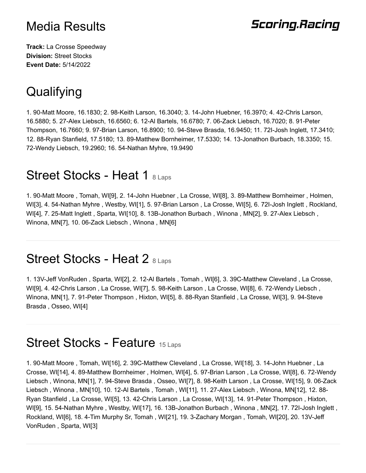## **Scoring.Racing**

**Track:** La Crosse Speedway **Division:** Street Stocks **Event Date:** 5/14/2022

# **Qualifying**

1. 90-Matt Moore, 16.1830; 2. 98-Keith Larson, 16.3040; 3. 14-John Huebner, 16.3970; 4. 42-Chris Larson, 16.5880; 5. 27-Alex Liebsch, 16.6560; 6. 12-Al Bartels, 16.6780; 7. 06-Zack Liebsch, 16.7020; 8. 91-Peter Thompson, 16.7660; 9. 97-Brian Larson, 16.8900; 10. 94-Steve Brasda, 16.9450; 11. 72I-Josh Inglett, 17.3410; 12. 88-Ryan Stanfield, 17.5180; 13. 89-Matthew Bornheimer, 17.5330; 14. 13-Jonathon Burbach, 18.3350; 15. 72-Wendy Liebsch, 19.2960; 16. 54-Nathan Myhre, 19.9490

### Street Stocks - Heat 1 8 Laps

1. 90-Matt Moore , Tomah, WI[9], 2. 14-John Huebner , La Crosse, WI[8], 3. 89-Matthew Bornheimer , Holmen, WI[3], 4. 54-Nathan Myhre , Westby, WI[1], 5. 97-Brian Larson , La Crosse, WI[5], 6. 72I-Josh Inglett , Rockland, WI[4], 7. 25-Matt Inglett , Sparta, WI[10], 8. 13B-Jonathon Burbach , Winona , MN[2], 9. 27-Alex Liebsch , Winona, MN[7], 10. 06-Zack Liebsch , Winona , MN[6]

### Street Stocks - Heat 2 8 Laps

1. 13V-Jeff VonRuden , Sparta, WI[2], 2. 12-Al Bartels , Tomah , WI[6], 3. 39C-Matthew Cleveland , La Crosse, WI[9], 4. 42-Chris Larson , La Crosse, WI[7], 5. 98-Keith Larson , La Crosse, WI[8], 6. 72-Wendy Liebsch , Winona, MN[1], 7. 91-Peter Thompson , Hixton, WI[5], 8. 88-Ryan Stanfield , La Crosse, WI[3], 9. 94-Steve Brasda , Osseo, WI[4]

#### Street Stocks - Feature 15 Laps

1. 90-Matt Moore , Tomah, WI[16], 2. 39C-Matthew Cleveland , La Crosse, WI[18], 3. 14-John Huebner , La Crosse, WI[14], 4. 89-Matthew Bornheimer , Holmen, WI[4], 5. 97-Brian Larson , La Crosse, WI[8], 6. 72-Wendy Liebsch , Winona, MN[1], 7. 94-Steve Brasda , Osseo, WI[7], 8. 98-Keith Larson , La Crosse, WI[15], 9. 06-Zack Liebsch , Winona , MN[10], 10. 12-Al Bartels , Tomah , WI[11], 11. 27-Alex Liebsch , Winona, MN[12], 12. 88- Ryan Stanfield , La Crosse, WI[5], 13. 42-Chris Larson , La Crosse, WI[13], 14. 91-Peter Thompson , Hixton, WI[9], 15. 54-Nathan Myhre , Westby, WI[17], 16. 13B-Jonathon Burbach , Winona , MN[2], 17. 72I-Josh Inglett , Rockland, WI[6], 18. 4-Tim Murphy Sr, Tomah , WI[21], 19. 3-Zachary Morgan , Tomah, WI[20], 20. 13V-Jeff VonRuden , Sparta, WI[3]